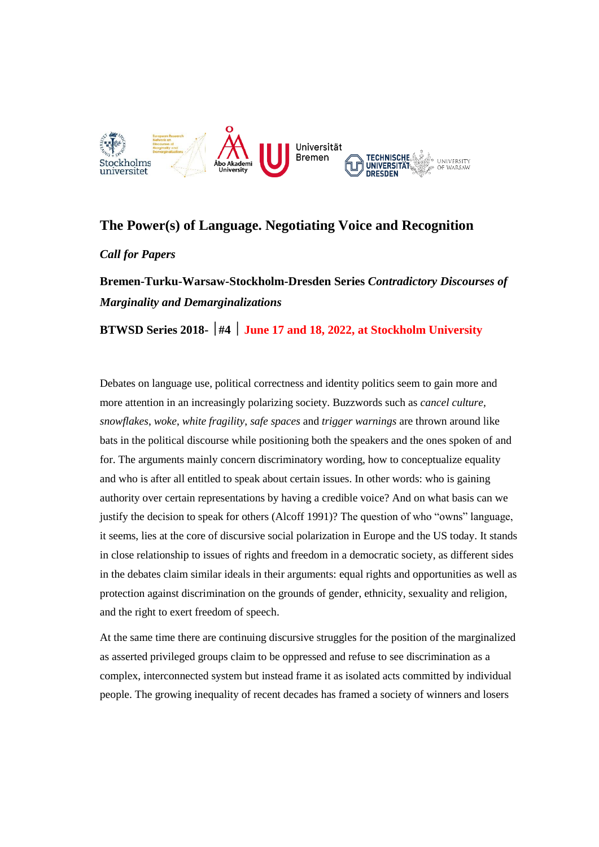

## **The Power(s) of Language. Negotiating Voice and Recognition**

*Call for Papers*

**Bremen-Turku-Warsaw-Stockholm-Dresden Series** *Contradictory Discourses of Marginality and Demarginalizations*

**BTWSD Series 2018- #4 June 17 and 18, 2022, at Stockholm University** 

Debates on language use, political correctness and identity politics seem to gain more and more attention in an increasingly polarizing society. Buzzwords such as *cancel culture, snowflakes*, *woke*, *white fragility*, *safe spaces* and *trigger warnings* are thrown around like bats in the political discourse while positioning both the speakers and the ones spoken of and for. The arguments mainly concern discriminatory wording, how to conceptualize equality and who is after all entitled to speak about certain issues. In other words: who is gaining authority over certain representations by having a credible voice? And on what basis can we justify the decision to speak for others (Alcoff 1991)? The question of who "owns" language, it seems, lies at the core of discursive social polarization in Europe and the US today. It stands in close relationship to issues of rights and freedom in a democratic society, as different sides in the debates claim similar ideals in their arguments: equal rights and opportunities as well as protection against discrimination on the grounds of gender, ethnicity, sexuality and religion, and the right to exert freedom of speech.

At the same time there are continuing discursive struggles for the position of the marginalized as asserted privileged groups claim to be oppressed and refuse to see discrimination as a complex, interconnected system but instead frame it as isolated acts committed by individual people. The growing inequality of recent decades has framed a society of winners and losers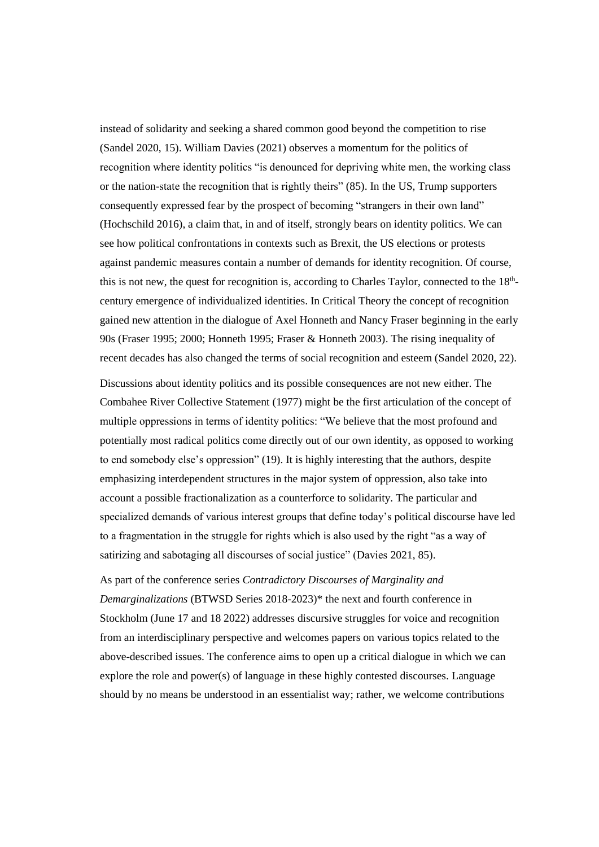instead of solidarity and seeking a shared common good beyond the competition to rise (Sandel 2020, 15). William Davies (2021) observes a momentum for the politics of recognition where identity politics "is denounced for depriving white men, the working class or the nation-state the recognition that is rightly theirs" (85). In the US, Trump supporters consequently expressed fear by the prospect of becoming "strangers in their own land" (Hochschild 2016), a claim that, in and of itself, strongly bears on identity politics. We can see how political confrontations in contexts such as Brexit, the US elections or protests against pandemic measures contain a number of demands for identity recognition. Of course, this is not new, the quest for recognition is, according to Charles Taylor, connected to the  $18<sup>th</sup>$ century emergence of individualized identities. In Critical Theory the concept of recognition gained new attention in the dialogue of Axel Honneth and Nancy Fraser beginning in the early 90s (Fraser 1995; 2000; Honneth 1995; Fraser & Honneth 2003). The rising inequality of recent decades has also changed the terms of social recognition and esteem (Sandel 2020, 22).

Discussions about identity politics and its possible consequences are not new either. The Combahee River Collective Statement (1977) might be the first articulation of the concept of multiple oppressions in terms of identity politics: "We believe that the most profound and potentially most radical politics come directly out of our own identity, as opposed to working to end somebody else's oppression" (19). It is highly interesting that the authors, despite emphasizing interdependent structures in the major system of oppression, also take into account a possible fractionalization as a counterforce to solidarity. The particular and specialized demands of various interest groups that define today's political discourse have led to a fragmentation in the struggle for rights which is also used by the right "as a way of satirizing and sabotaging all discourses of social justice" (Davies 2021, 85).

As part of the conference series *Contradictory Discourses of Marginality and Demarginalizations* (BTWSD Series 2018-2023)\* the next and fourth conference in Stockholm (June 17 and 18 2022) addresses discursive struggles for voice and recognition from an interdisciplinary perspective and welcomes papers on various topics related to the above-described issues. The conference aims to open up a critical dialogue in which we can explore the role and power(s) of language in these highly contested discourses. Language should by no means be understood in an essentialist way; rather, we welcome contributions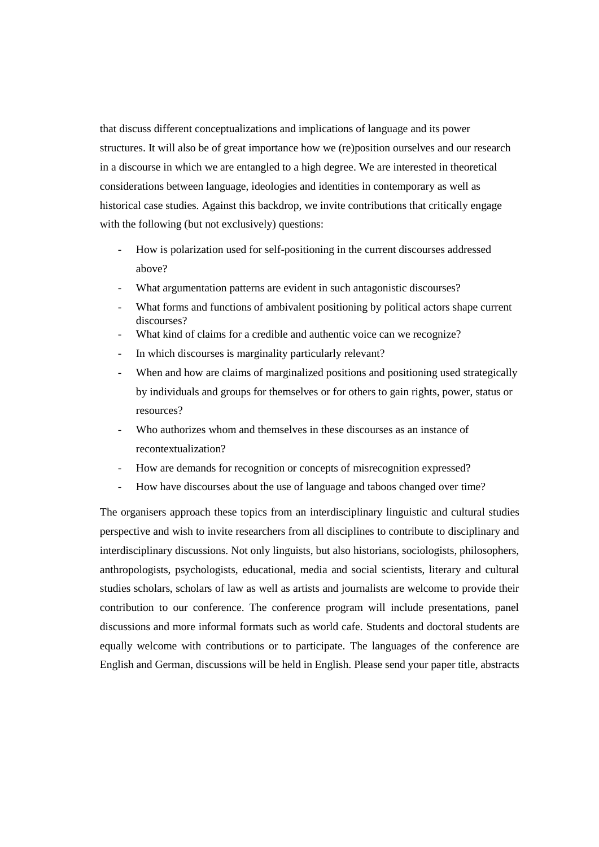that discuss different conceptualizations and implications of language and its power structures. It will also be of great importance how we (re)position ourselves and our research in a discourse in which we are entangled to a high degree. We are interested in theoretical considerations between language, ideologies and identities in contemporary as well as historical case studies. Against this backdrop, we invite contributions that critically engage with the following (but not exclusively) questions:

- How is polarization used for self-positioning in the current discourses addressed above?
- What argumentation patterns are evident in such antagonistic discourses?
- What forms and functions of ambivalent positioning by political actors shape current discourses?
- What kind of claims for a credible and authentic voice can we recognize?
- In which discourses is marginality particularly relevant?
- When and how are claims of marginalized positions and positioning used strategically by individuals and groups for themselves or for others to gain rights, power, status or resources?
- Who authorizes whom and themselves in these discourses as an instance of recontextualization?
- How are demands for recognition or concepts of misrecognition expressed?
- How have discourses about the use of language and taboos changed over time?

The organisers approach these topics from an interdisciplinary linguistic and cultural studies perspective and wish to invite researchers from all disciplines to contribute to disciplinary and interdisciplinary discussions. Not only linguists, but also historians, sociologists, philosophers, anthropologists, psychologists, educational, media and social scientists, literary and cultural studies scholars, scholars of law as well as artists and journalists are welcome to provide their contribution to our conference. The conference program will include presentations, panel discussions and more informal formats such as world cafe. Students and doctoral students are equally welcome with contributions or to participate. The languages of the conference are English and German, discussions will be held in English. Please send your paper title, abstracts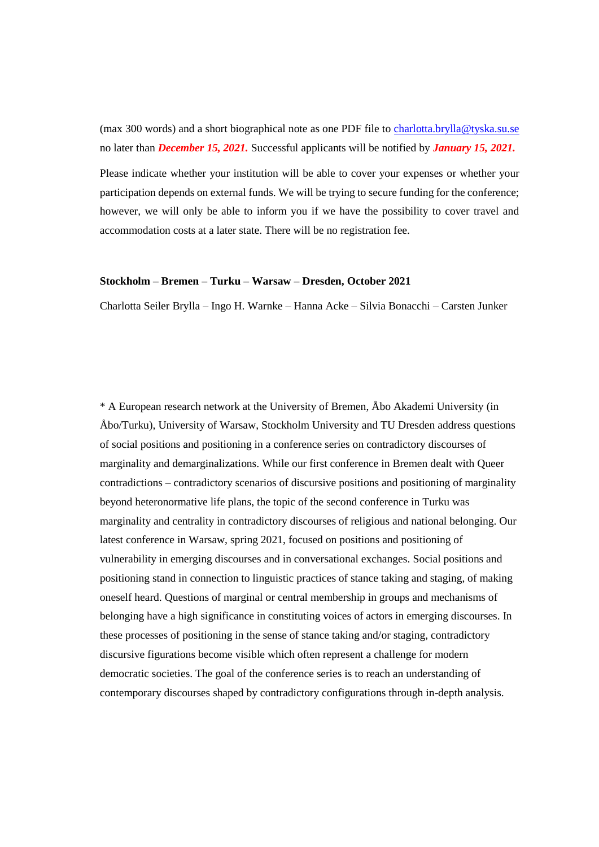(max 300 words) and a short biographical note as one PDF file to [charlotta.brylla@tyska.su.se](mailto:charlotta.brylla@tyska.su.se) no later than *December 15, 2021.* Successful applicants will be notified by *January 15, 2021.*

Please indicate whether your institution will be able to cover your expenses or whether your participation depends on external funds. We will be trying to secure funding for the conference; however, we will only be able to inform you if we have the possibility to cover travel and accommodation costs at a later state. There will be no registration fee.

## **Stockholm – Bremen – Turku – Warsaw – Dresden, October 2021**

Charlotta Seiler Brylla – Ingo H. Warnke – Hanna Acke – Silvia Bonacchi – Carsten Junker

\* A European research network at the University of Bremen, Åbo Akademi University (in Åbo/Turku), University of Warsaw, Stockholm University and TU Dresden address questions of social positions and positioning in a conference series on contradictory discourses of marginality and demarginalizations. While our first conference in Bremen dealt with Queer contradictions – contradictory scenarios of discursive positions and positioning of marginality beyond heteronormative life plans, the topic of the second conference in Turku was marginality and centrality in contradictory discourses of religious and national belonging. Our latest conference in Warsaw, spring 2021, focused on positions and positioning of vulnerability in emerging discourses and in conversational exchanges. Social positions and positioning stand in connection to linguistic practices of stance taking and staging, of making oneself heard. Questions of marginal or central membership in groups and mechanisms of belonging have a high significance in constituting voices of actors in emerging discourses. In these processes of positioning in the sense of stance taking and/or staging, contradictory discursive figurations become visible which often represent a challenge for modern democratic societies. The goal of the conference series is to reach an understanding of contemporary discourses shaped by contradictory configurations through in-depth analysis.